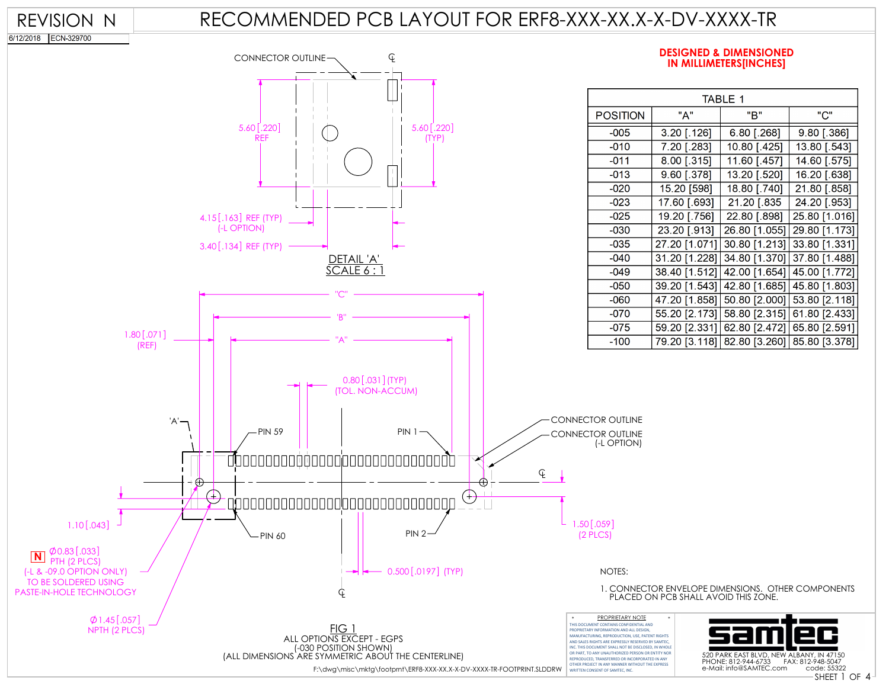## RECOMMENDED PCB LAYOUT FOR ERF8-XXX-XX.X-X-DV-XXXX-TR

#### 6/12/2018 ECN-329700

REVISION N

#### **DESIGNED & DIMENSIONED** CONNECTOR OUTLINE  $\qquad \qquad \mathbb{Q}$ **IN MILLIMETERS[INCHES]** TABLE 1 "A" "C" **POSITION** "B"  $5.60$ .220  $5.60$ [.220]  $9.80$   $[.386]$  $-005$ 3.20 [.126] 6.80 [.268] (TYP) REF  $-010$ 7.20 [ 283] 10.80 [.425] 13.80 [.543]  $-011$ 8.00 [.315] 11.60 [.457] 14.60 [.575]  $16.20$  [.638]  $-013$ 9.60 [.378] 13.20 [.520]  $-020$ 15.20 [598] 18.80 [.740] 21.80 [.858]  $-023$ 17.60 [.693] 21.20 [.835] 24.20 [.953]  $-025$ 22.80 [.898] 25.80 [1.016] 19.20 [.756]  $-030$ 23.20 [.913] 26.80 [1.055] 29.80 [1.173]  $-035$ 27.20 [1.071] 30.80 [1.213] 33.80 [1.331]  $-040$ 31.20 [1.228] 34.80 [1.370] 37.80 [1.488] DETAIL 'A'  $SCALE 6:1$  $-049$ 38.40 [1.512] 42.00 [1.654] 45.00 [1.772]  $-050$ 39.20 [1.543] 42.80 [1.685] 45.80 [1.803] "C"  $-060$ 47.20 [1.858] 50.80 [2.000] 53.80 [2.118]  $-070$ 58.80 [2.315] 61.80 [2.433] 55.20 [2.173] 'B"  $-075$ 59.20 [2.331] 62.80 [2.472] 65.80 [2.591]  $-100$ 79.20 [3.118] 82.80 [3.260] 85.80 [3.378]  $0.80$  [.031] (TYP) (TOL. NON-ACCUM) CONNECTOR OUTLINE



520 PARK EAST BLVD, NEW ALBANY, IN 47150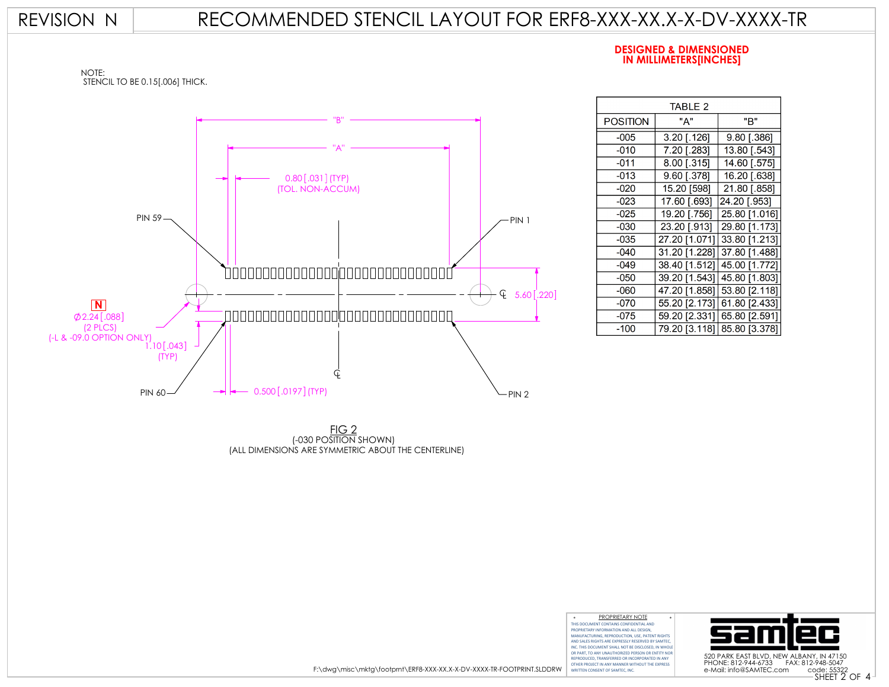### REVISION N

NOTE:

STENCIL TO BE 0.15[.006] THICK.

# RECOMMENDED STENCIL LAYOUT FOR ERF8-XXX-XX.X-X-DV-XXXX-TR

#### **DESIGNED & DIMENSIONED IN MILLIMETERS[INCHES]**

**TABLE 2** 

"B"

 $9.80$  [.386]

13.80 [.543]

14.60 [.575]

16.20 [.638]

21.80 [.858]

"A"

 $3.20$  [.126]

7.20 [.283]

 $8.00$  [.315]

 $9.60$  [.378]

15.20 [598]

17.60 [.693] 24.20 [.953]

19.20 [.756] 25.80 [1.016]

23.20 [.913] 29.80 [1.173]

27.20 [1.071] 33.80 [1.213]

31.20 [1.228] 37.80 [1.488]

38.40 [1.512] 45.00 [1.772]

39.20 [1.543] 45.80 [1.803]

47.20 [1.858] 53.80 [2.118]

55.20 [2.173] 61.80 [2.433]

59.20 [2.331] 65.80 [2.591]

79.20 [3.118] 85.80 [3.378]

**POSITION** 

 $-005$  $-010$ 

 $-011$ 

 $-013$ 

 $-020$ 

 $-023$ 

 $-025$ 

 $-030$ 

 $-035$ 

 $-040$ 

 $-049$ 

 $-050$ 

 $-060$ 

 $-070$ 

 $-075$ 

 $-100$ 

"B" "A"  $0.80$   $[.031]$  (TYP) (TOL. NON-ACCUM) PIN 59 PIN 1 CL  $5.60$ [.220]  $\overline{\mathbf{N}}$  $\phi$ 2.24 [.088] (2 PLCS) (-L & -09.0 OPTION ONLY)  $\dot{.}10$   $\dot{.}043$   $\dot{.}$ (TYP) CL PIN 60 0.500 [.0197] (TYP) PIN 2

> EIG 2<br>(-030 POSITION SHOWN) (ALL DIMENSIONS ARE SYMMETRIC ABOUT THE CENTERLINE)



THIS DOCUMENT CONTAINS CONFIDENTIAL AND PROPRIETARY INFORMATION AND ALL DESIGN, MANUFACTURING, REPRODUCTION, USE, PATENT RIGHTS AND SALES RIGHTS ARE EXPRESSLY RESERVED BY SAMTEC, INC. THIS DOCUMENT SHALL NOT BE DISCLOSED, IN WHOLE OR PART, TO ANY UNAUTHORIZED PERSON OR ENTITY NOR REPRODUCED, TRANSFERRED OR INCORPORATED IN ANY OTHER PROJECT IN ANY MANNER WITHOUT THE EXPRESS WRITTEN CONSENT OF SAMTEC, INC. PROPRIETARY NOTE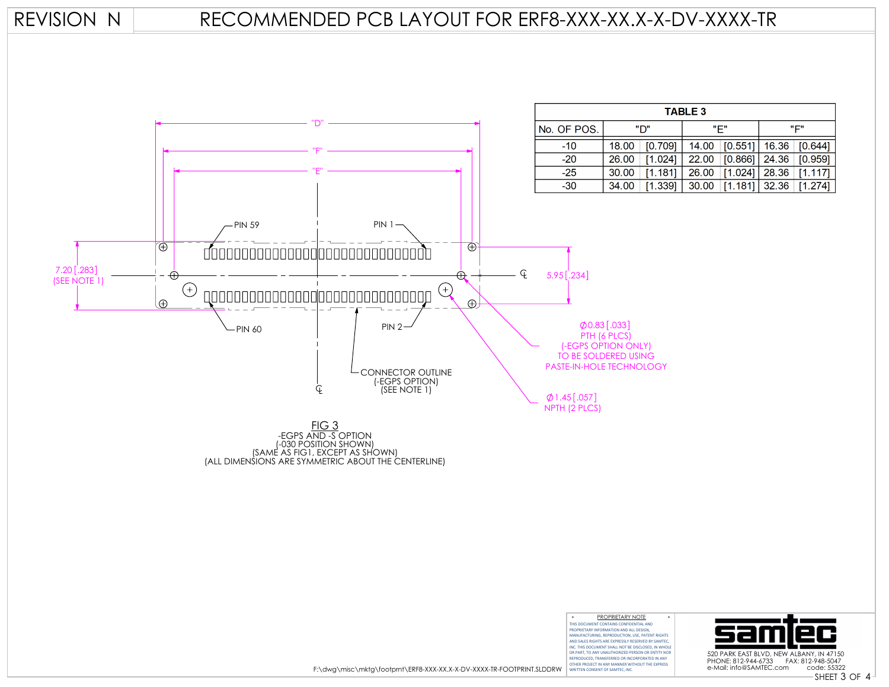## REVISION N

# RECOMMENDED PCB LAYOUT FOR ERF8-XXX-XX.X-X-DV-XXXX-TR





THIS DOCUMENT CONTAINS CONFIDENTIAL AND PROPRIETARY INFORMATION AND ALL DESIGN,

PROPRIETARY NOTE

SHEET 3 OF 4